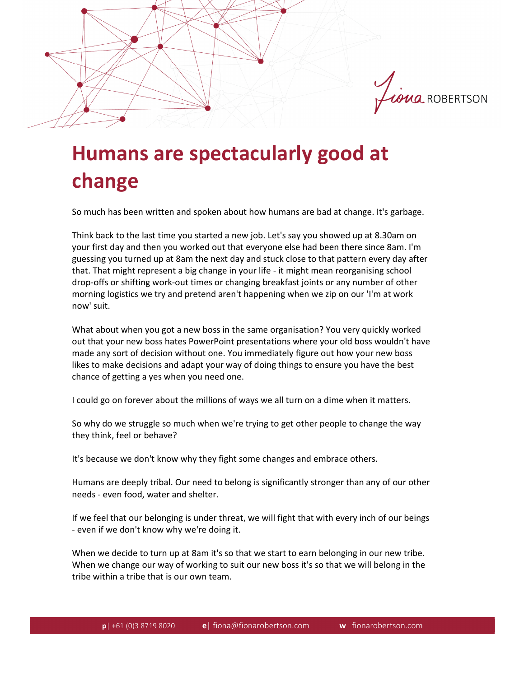

## **Humans are spectacularly good at change**

So much has been written and spoken about how humans are bad at change. It's garbage.

Think back to the last time you started a new job. Let's say you showed up at 8.30am on your first day and then you worked out that everyone else had been there since 8am. I'm guessing you turned up at 8am the next day and stuck close to that pattern every day after that. That might represent a big change in your life - it might mean reorganising school drop-offs or shifting work-out times or changing breakfast joints or any number of other morning logistics we try and pretend aren't happening when we zip on our 'I'm at work now' suit.

What about when you got a new boss in the same organisation? You very quickly worked out that your new boss hates PowerPoint presentations where your old boss wouldn't have made any sort of decision without one. You immediately figure out how your new boss likes to make decisions and adapt your way of doing things to ensure you have the best chance of getting a yes when you need one.

I could go on forever about the millions of ways we all turn on a dime when it matters.

So why do we struggle so much when we're trying to get other people to change the way they think, feel or behave?

It's because we don't know why they fight some changes and embrace others.

Humans are deeply tribal. Our need to belong is significantly stronger than any of our other needs - even food, water and shelter.

If we feel that our belonging is under threat, we will fight that with every inch of our beings - even if we don't know why we're doing it.

When we decide to turn up at 8am it's so that we start to earn belonging in our new tribe. When we change our way of working to suit our new boss it's so that we will belong in the tribe within a tribe that is our own team.